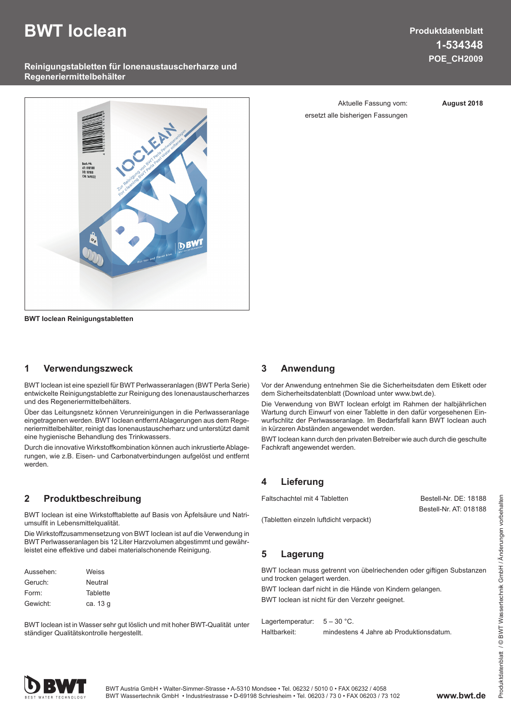# **BWT Ioclean**

# **Produktdatenblatt 1-534348 POE\_CH2009**

### **Reinigungstabletten für Ionenaustauscherharze und Regeneriermittelbehälter**



**BWT Ioclean Reinigungstabletten**

### **1 Verwendungszweck**

BWT Ioclean ist eine speziell für BWT Perlwasseranlagen (BWT Perla Serie) entwickelte Reinigungstablette zur Reinigung des Ionenaustauscherharzes und des Regeneriermittelbehälters.

Über das Leitungsnetz können Verunreinigungen in die Perlwasseranlage eingetragenen werden. BWT Ioclean entfernt Ablagerungen aus dem Regeneriermittelbehälter, reinigt das Ionenaustauscherharz und unterstützt damit eine hygienische Behandlung des Trinkwassers.

Durch die innovative Wirkstoffkombination können auch inkrustierte Ablagerungen, wie z.B. Eisen- und Carbonatverbindungen aufgelöst und entfernt werden.

### **2 Produktbeschreibung**

BWT Ioclean ist eine Wirkstofftablette auf Basis von Äpfelsäure und Natriumsulfit in Lebensmittelqualität.

Die Wirkstoffzusammensetzung von BWT Ioclean ist auf die Verwendung in BWT Perlwasseranlagen bis 12 Liter Harzvolumen abgestimmt und gewährleistet eine effektive und dabei materialschonende Reinigung.

| Aussehen: | Weiss    |
|-----------|----------|
| Geruch:   | Neutral  |
| Form:     | Tablette |
| Gewicht:  | ca. 13 g |

BWT Ioclean ist in Wasser sehr gut löslich und mit hoher BWT-Qualität unter ständiger Qualitätskontrolle hergestellt.

Aktuelle Fassung vom: **August 2018** ersetzt alle bisherigen Fassungen

### **3 Anwendung**

Vor der Anwendung entnehmen Sie die Sicherheitsdaten dem Etikett oder dem Sicherheitsdatenblatt (Download unter www.bwt.de).

Die Verwendung von BWT Ioclean erfolgt im Rahmen der halbjährlichen Wartung durch Einwurf von einer Tablette in den dafür vorgesehenen Einwurfschlitz der Perlwasseranlage. Im Bedarfsfall kann BWT Ioclean auch in kürzeren Abständen angewendet werden.

BWT Ioclean kann durch den privaten Betreiber wie auch durch die geschulte Fachkraft angewendet werden.

### **4 Lieferung**

Faltschachtel mit 4 Tabletten Bestell-Nr. DE: 18188

(Tabletten einzeln luftdicht verpackt)

Bestell-Nr. AT: 018188

### **5 Lagerung**

BWT Ioclean muss getrennt von übelriechenden oder giftigen Substanzen und trocken gelagert werden.

BWT Ioclean darf nicht in die Hände von Kindern gelangen.

BWT Ioclean ist nicht für den Verzehr geeignet.

Lagertemperatur:  $5 - 30$  °C. Haltbarkeit: mindestens 4 Jahre ab Produktionsdatum.